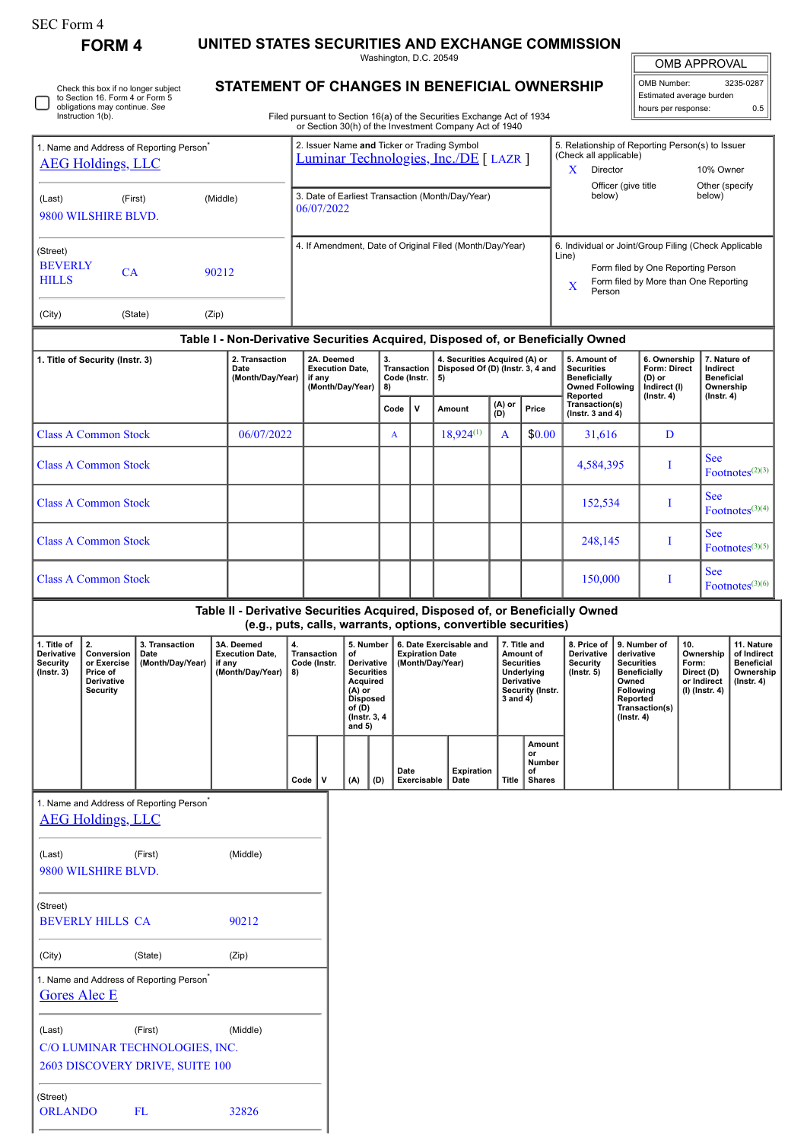## SEC Form 4

**FORM 4 UNITED STATES SECURITIES AND EXCHANGE COMMISSION**

Washington, D.C. 20549 **STATEMENT OF CHANGES IN BENEFICIAL OWNERSHIP**

| <b>OMB APPROVAL</b>      |     |  |  |  |  |  |  |  |  |  |
|--------------------------|-----|--|--|--|--|--|--|--|--|--|
| OMB Number:<br>3235-0287 |     |  |  |  |  |  |  |  |  |  |
| Estimated average burden |     |  |  |  |  |  |  |  |  |  |
| hours per response:      | ሰ 5 |  |  |  |  |  |  |  |  |  |

|                                                                                                                   | Check this box if no longer subject<br>to Section 16. Form 4 or Form 5<br>obligations may continue. See |                                    |       | STATEMENT OF GRANGES IN BENEFIGIAL OWNERSHIP                                     |                                                                                                                                           |                                                |                               |                                                                         |                        |                                                                                                                                  |                                                                                         |                                                |                                                                                                                                                |                                                                                           | Estimated average burden<br>hours per response:                                |                             |                       | 0.5                                     |
|-------------------------------------------------------------------------------------------------------------------|---------------------------------------------------------------------------------------------------------|------------------------------------|-------|----------------------------------------------------------------------------------|-------------------------------------------------------------------------------------------------------------------------------------------|------------------------------------------------|-------------------------------|-------------------------------------------------------------------------|------------------------|----------------------------------------------------------------------------------------------------------------------------------|-----------------------------------------------------------------------------------------|------------------------------------------------|------------------------------------------------------------------------------------------------------------------------------------------------|-------------------------------------------------------------------------------------------|--------------------------------------------------------------------------------|-----------------------------|-----------------------|-----------------------------------------|
|                                                                                                                   | Instruction 1(b).                                                                                       |                                    |       |                                                                                  |                                                                                                                                           |                                                |                               |                                                                         |                        | Filed pursuant to Section 16(a) of the Securities Exchange Act of 1934<br>or Section 30(h) of the Investment Company Act of 1940 |                                                                                         |                                                |                                                                                                                                                |                                                                                           |                                                                                |                             |                       |                                         |
| 1. Name and Address of Reporting Person <sup>®</sup><br><b>AEG Holdings, LLC</b><br>(Middle)<br>(First)<br>(Last) |                                                                                                         |                                    |       |                                                                                  | 2. Issuer Name and Ticker or Trading Symbol<br>Luminar Technologies, Inc./DE [ LAZR ]<br>3. Date of Earliest Transaction (Month/Day/Year) |                                                |                               |                                                                         |                        |                                                                                                                                  |                                                                                         |                                                | (Check all applicable)<br>X.<br>Director<br>Officer (give title<br>below)                                                                      | 5. Relationship of Reporting Person(s) to Issuer<br>10% Owner<br>Other (specify<br>below) |                                                                                |                             |                       |                                         |
|                                                                                                                   | 9800 WILSHIRE BLVD.                                                                                     |                                    |       |                                                                                  |                                                                                                                                           | 06/07/2022                                     |                               |                                                                         |                        |                                                                                                                                  |                                                                                         |                                                |                                                                                                                                                |                                                                                           |                                                                                |                             |                       |                                         |
| (Street)<br><b>BEVERLY</b><br>90212<br>CA<br><b>HILLS</b>                                                         |                                                                                                         |                                    |       |                                                                                  | 4. If Amendment, Date of Original Filed (Month/Day/Year)<br>Line)<br>$\mathbf x$                                                          |                                                |                               |                                                                         |                        |                                                                                                                                  |                                                                                         |                                                | 6. Individual or Joint/Group Filing (Check Applicable<br>Form filed by One Reporting Person<br>Form filed by More than One Reporting<br>Person |                                                                                           |                                                                                |                             |                       |                                         |
| (City)                                                                                                            | (State)                                                                                                 |                                    | (Zip) |                                                                                  |                                                                                                                                           |                                                |                               |                                                                         |                        |                                                                                                                                  |                                                                                         |                                                |                                                                                                                                                |                                                                                           |                                                                                |                             |                       |                                         |
|                                                                                                                   |                                                                                                         |                                    |       | Table I - Non-Derivative Securities Acquired, Disposed of, or Beneficially Owned |                                                                                                                                           |                                                |                               |                                                                         |                        |                                                                                                                                  |                                                                                         |                                                |                                                                                                                                                |                                                                                           |                                                                                |                             |                       |                                         |
| 1. Title of Security (Instr. 3)<br>2. Transaction<br>Date<br>(Month/Day/Year)                                     |                                                                                                         |                                    |       | 2A. Deemed<br><b>Execution Date.</b><br>if any<br>(Month/Day/Year)               |                                                                                                                                           | 3.<br><b>Transaction</b><br>Code (Instr.<br>8) |                               | 4. Securities Acquired (A) or<br>Disposed Of (D) (Instr. 3, 4 and<br>5) |                        |                                                                                                                                  | 5. Amount of<br><b>Securities</b><br>Beneficially<br><b>Owned Following</b><br>Reported |                                                | 6. Ownership<br><b>Form: Direct</b><br>(D) or<br>Indirect (I)<br>$($ lnstr. 4 $)$                                                              |                                                                                           | 7. Nature of<br>Indirect<br><b>Beneficial</b><br>Ownership<br>$($ lnstr. 4 $)$ |                             |                       |                                         |
|                                                                                                                   |                                                                                                         |                                    |       |                                                                                  |                                                                                                                                           |                                                |                               | Code                                                                    | $\mathsf{v}$           | Amount                                                                                                                           | (A) or<br>(D)                                                                           | Price                                          | Transaction(s)<br>( $lnstr. 3 and 4$ )                                                                                                         |                                                                                           |                                                                                |                             |                       |                                         |
|                                                                                                                   | <b>Class A Common Stock</b>                                                                             |                                    |       | 06/07/2022                                                                       |                                                                                                                                           |                                                |                               | $\mathbf{A}$                                                            |                        | $18,924^{(1)}$                                                                                                                   | A                                                                                       | \$0.00                                         | 31,616                                                                                                                                         |                                                                                           | D                                                                              |                             |                       |                                         |
|                                                                                                                   | <b>Class A Common Stock</b>                                                                             |                                    |       |                                                                                  |                                                                                                                                           |                                                |                               |                                                                         |                        |                                                                                                                                  |                                                                                         |                                                | 4,584,395                                                                                                                                      |                                                                                           | T                                                                              |                             | <b>See</b>            | $\text{ Footnotes}^{(2)(3)}$            |
|                                                                                                                   | <b>Class A Common Stock</b>                                                                             |                                    |       |                                                                                  |                                                                                                                                           |                                                |                               |                                                                         |                        |                                                                                                                                  |                                                                                         |                                                | 152,534                                                                                                                                        |                                                                                           | I                                                                              |                             | <b>See</b>            | Footnotes <sup>(3)(4)</sup>             |
| <b>Class A Common Stock</b>                                                                                       |                                                                                                         |                                    |       |                                                                                  |                                                                                                                                           |                                                |                               |                                                                         |                        |                                                                                                                                  | 248,145                                                                                 |                                                | T                                                                                                                                              |                                                                                           | <b>See</b>                                                                     | Footnotes <sup>(3)(5)</sup> |                       |                                         |
| <b>Class A Common Stock</b>                                                                                       |                                                                                                         |                                    |       |                                                                                  |                                                                                                                                           |                                                |                               |                                                                         |                        |                                                                                                                                  |                                                                                         | 150,000                                        |                                                                                                                                                | I                                                                                         |                                                                                | <b>See</b>                  | $ Footnotes^{(3)(6)}$ |                                         |
|                                                                                                                   |                                                                                                         |                                    |       | Table II - Derivative Securities Acquired, Disposed of, or Beneficially Owned    |                                                                                                                                           |                                                |                               |                                                                         |                        | (e.g., puts, calls, warrants, options, convertible securities)                                                                   |                                                                                         |                                                |                                                                                                                                                |                                                                                           |                                                                                |                             |                       |                                         |
| 1. Title of<br>Derivative  <br>Security                                                                           | 2.<br>Conversion   Date<br>or Evercice                                                                  | 3. Transaction<br>(Month/Day/Voar) |       | 3A. Deemed<br><b>Execution Date,</b><br>if any                                   | 4.                                                                                                                                        | Transaction<br>Code (Instr                     | 5. Number<br>of<br>Derivative |                                                                         | <b>Expiration Date</b> | 6. Date Exercisable and<br>(Month/Day/Yoar)                                                                                      |                                                                                         | 7. Title and<br>Amount of<br><b>Securities</b> | 8. Price of<br>Derivative<br>Security                                                                                                          |                                                                                           | 9. Number of<br>derivative<br>Securities                                       | 10.<br>Ownership  <br>Form: |                       | 11. Nature<br>of Indirect<br>Reneficial |

| <b>Derivative</b><br>Security<br>(Instr. 3) | conversion<br>or Exercise<br><b>Price of</b><br><b>Derivative</b><br>Security | Date<br>(Month/Day/Year) | execution Date,<br>if anv<br>(Month/Dav/Year) | Transaction<br>Code (Instr.<br>8) |   | $\blacksquare$<br>Derivative I<br><b>Securities</b><br>Acquired<br>(A) or<br>Disposed<br>of (D)<br>(Instr. 3, 4)<br>and $5)$ |     | <b>Expiration Date</b><br>(Month/Day/Year) |                    | Amount of<br>Securities<br>Underlying<br><b>Derivative</b><br>Security (Instr.<br>3 and 4) |                                        | Derivative<br>Security<br>(Instr. 5) | aerivative<br><b>Securities</b><br><b>Beneficially</b><br>Owned<br>Following<br>Reported<br>Transaction(s)<br>$($ lnstr. 4 $)$ | Ownership   or indirect<br>Form:<br>Direct (D)<br>or Indirect<br>(I) (Instr. 4) | Beneficial<br>Ownership<br>(Instr. 4) |
|---------------------------------------------|-------------------------------------------------------------------------------|--------------------------|-----------------------------------------------|-----------------------------------|---|------------------------------------------------------------------------------------------------------------------------------|-----|--------------------------------------------|--------------------|--------------------------------------------------------------------------------------------|----------------------------------------|--------------------------------------|--------------------------------------------------------------------------------------------------------------------------------|---------------------------------------------------------------------------------|---------------------------------------|
|                                             |                                                                               |                          |                                               | Code                              | v | (A)                                                                                                                          | (D) | Date<br>Exercisable                        | Expiration<br>Date | Title                                                                                      | Amount<br>or<br>Number<br>of<br>Shares |                                      |                                                                                                                                |                                                                                 |                                       |

1. Name and Address of Reporting Person<sup>\*</sup>

[AEG Holdings, LLC](http://www.sec.gov/cgi-bin/browse-edgar?action=getcompany&CIK=0001694360)

 $\mathbf{L}$ 

| (Last)                                                               | (First) | (Middle) |
|----------------------------------------------------------------------|---------|----------|
| 9800 WILSHIRE BLVD.                                                  |         |          |
| (Street)                                                             |         |          |
| <b>BEVERLY HILLS CA</b>                                              |         | 90212    |
| (City)                                                               | (State) | (Zip)    |
| 1. Name and Address of Reporting Person <sup>®</sup><br>Gores Alec E |         |          |
| (Last)                                                               | (First) | (Middle) |
| C/O LUMINAR TECHNOLOGIES, INC.                                       |         |          |
| <b>2603 DISCOVERY DRIVE, SUITE 100</b>                               |         |          |
| (Street)                                                             |         |          |
| <b>ORLANDO</b>                                                       | FL.     | 32826    |